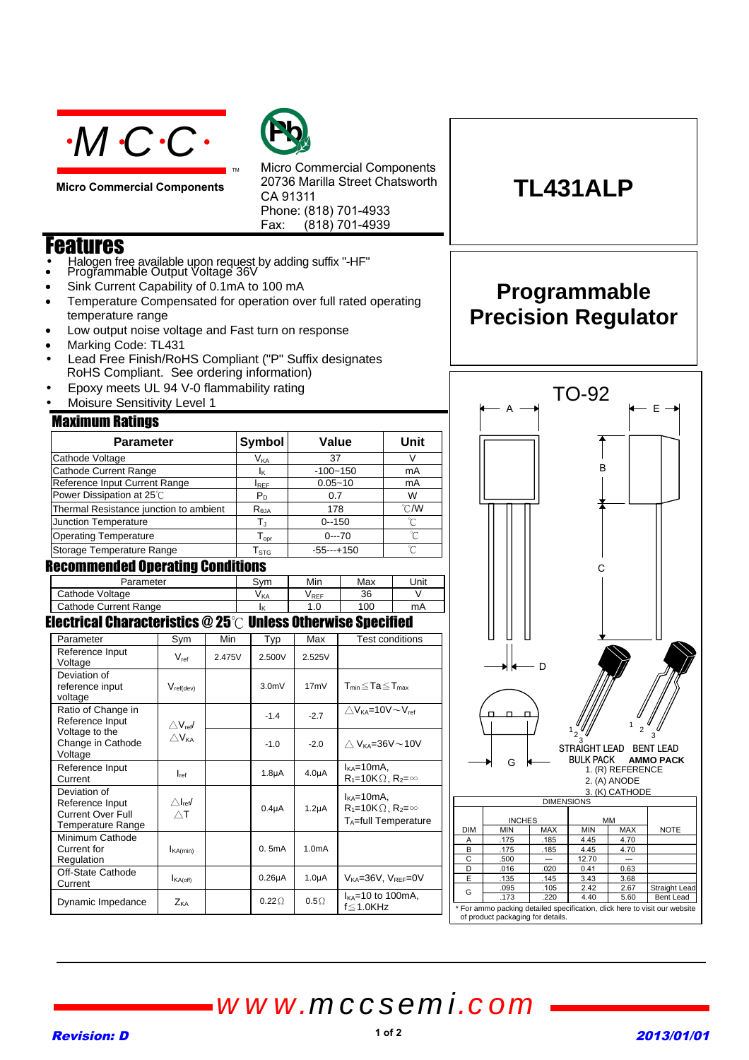

**Micro Commercial Components**



Micro Commercial Components 20736 Marilla Street Chatsworth CA 91311 Phone: (818) 701-4933 Fax: (818) 701-4939

### Features

- Halogen free available upon request by adding suffix "-HF"<br>• Programmable Output Voltage 36V
- Sink Current Capability of 0.1mA to 100 mA
- Temperature Compensated for operation over full rated operating temperature range

TM

- Low output noise voltage and Fast turn on response
- Marking Code: TL431
- Lead Free Finish/RoHS Compliant ("P" Suffix designates RoHS Compliant. See ordering information)
- Epoxy meets UL 94 V-0 flammability rating
- Moisure Sensitivity Level 1

### Maximum Ratings

| --- <del>--</del> ------ <del>-</del> ---- -- <del>------</del> -- |                              |              |                |  |  |  |
|--------------------------------------------------------------------|------------------------------|--------------|----------------|--|--|--|
| <b>Parameter</b>                                                   | Symbol                       | Value        | Unit           |  |  |  |
| Cathode Voltage                                                    | V <sub>KA</sub>              | 37           | V              |  |  |  |
| Cathode Current Range                                              | Iκ                           | $-100 - 150$ | mA             |  |  |  |
| Reference Input Current Range                                      | <b>I</b> REF                 | $0.05 - 10$  | mA             |  |  |  |
| Power Dissipation at 25°C                                          | $P_D$                        | 0.7          | W              |  |  |  |
| Thermal Resistance junction to ambient                             | $R_{\theta$ JA               | 178          | $^{\circ}$ CMV |  |  |  |
| <b>Junction Temperature</b>                                        | TJ.                          | $0 - 150$    | °C             |  |  |  |
| <b>Operating Temperature</b>                                       | ${\mathsf T}_{\textsf{opr}}$ | $0--70$      | °C             |  |  |  |
| Storage Temperature Range                                          | ${\mathsf T}_{\text{STG}}$   | $-55--+150$  | ′∩°            |  |  |  |
| Dooommandad Anarating Panditiane                                   |                              |              |                |  |  |  |

#### Recommended Operating Conditions

| Parameter               | Svm  | Min                     | Max | Unit |
|-------------------------|------|-------------------------|-----|------|
| Cathode Voltage         | V KA | <b>V</b> <sub>REF</sub> | 36  |      |
| Cathode Current Range   |      |                         | 100 | mA   |
| --<br>- -<br>--<br>---- | --   | ---                     | --- |      |

### Electrical Characteristics  $@25^\circled$  Unless Otherwise Specified

| Parameter                                                                        | $Sym_$                                   | Min    | <b>Typ</b>   | Max                | Test conditions                                                                   |
|----------------------------------------------------------------------------------|------------------------------------------|--------|--------------|--------------------|-----------------------------------------------------------------------------------|
| Reference Input<br>Voltage                                                       | $V_{ref}$                                | 2.475V | 2.500V       | 2.525V             |                                                                                   |
| Deviation of<br>reference input<br>voltage                                       | $V_{ref(dev)}$                           |        | $3.0m$ V     | 17mV               | T <sub>min</sub> ≦Ta≦T <sub>max</sub>                                             |
| Ratio of Change in<br>Reference Input                                            | $\triangle$ V <sub>ref</sub> /           |        | $-1.4$       | $-2.7$             | $\wedge$ V <sub>KA</sub> =10V $\sim$ V <sub>ref</sub>                             |
| Voltage to the<br>Change in Cathode<br>Voltage                                   | $\triangle V_{KA}$                       |        | $-1.0$       | $-2.0$             | $\wedge$ V <sub>KA</sub> =36V $\sim$ 10V                                          |
| Reference Input<br>Current                                                       | $I_{ref}$                                |        | $1.8\mu A$   | 4.0 <sub>µ</sub> A | $I_{KA}$ =10mA,<br>$R_1 = 10K\Omega$ , $R_2 = \infty$                             |
| Deviation of<br>Reference Input<br><b>Current Over Full</b><br>Temperature Range | $\triangle$ <sub>ref</sub><br>$\wedge$ T |        | $0.4\muA$    | 1.2 <sub>µ</sub> A | $I_{KA}$ =10mA,<br>$R_1 = 10K\Omega$ , $R_2 = \infty$<br>$T_A = full$ Temperature |
| Minimum Cathode<br>Current for<br>Regulation                                     | $I_{\text{KA}(min)}$                     |        | 0.5mA        | 1.0 <sub>m</sub> A |                                                                                   |
| Off-State Cathode<br>Current                                                     | $I_{\mathsf{KA}(\mathsf{off})}$          |        | $0.26\mu A$  | 1.0 <sub>µ</sub> A | $V_{KA} = 36V$ , $V_{REF} = 0V$                                                   |
| Dynamic Impedance                                                                | Z <sub>KA</sub>                          |        | $0.22\Omega$ | $0.5\Omega$        | $I_{KA}$ =10 to 100mA,<br>$f \leq 1.0$ KHz                                        |

# **TL431ALP**

### **Programmable Precision Regulator**



# *www.mccsemi.com*